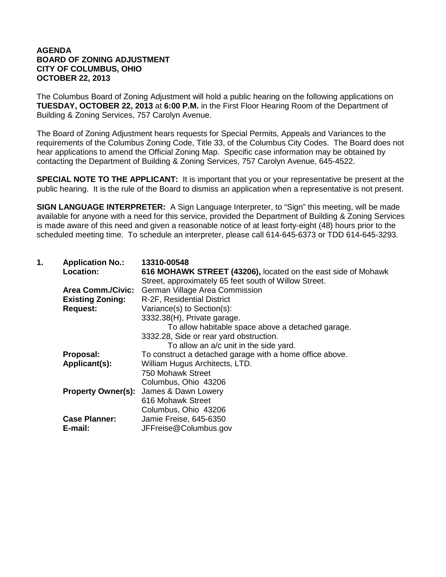## **AGENDA BOARD OF ZONING ADJUSTMENT CITY OF COLUMBUS, OHIO OCTOBER 22, 2013**

The Columbus Board of Zoning Adjustment will hold a public hearing on the following applications on **TUESDAY, OCTOBER 22, 2013** at **6:00 P.M.** in the First Floor Hearing Room of the Department of Building & Zoning Services, 757 Carolyn Avenue.

The Board of Zoning Adjustment hears requests for Special Permits, Appeals and Variances to the requirements of the Columbus Zoning Code, Title 33, of the Columbus City Codes. The Board does not hear applications to amend the Official Zoning Map. Specific case information may be obtained by contacting the Department of Building & Zoning Services, 757 Carolyn Avenue, 645-4522.

**SPECIAL NOTE TO THE APPLICANT:** It is important that you or your representative be present at the public hearing. It is the rule of the Board to dismiss an application when a representative is not present.

**SIGN LANGUAGE INTERPRETER:** A Sign Language Interpreter, to "Sign" this meeting, will be made available for anyone with a need for this service, provided the Department of Building & Zoning Services is made aware of this need and given a reasonable notice of at least forty-eight (48) hours prior to the scheduled meeting time. To schedule an interpreter, please call 614-645-6373 or TDD 614-645-3293.

| Location:<br>616 MOHAWK STREET (43206), located on the east side of Mohawk |  |
|----------------------------------------------------------------------------|--|
| Street, approximately 65 feet south of Willow Street.                      |  |
| <b>German Village Area Commission</b><br><b>Area Comm./Civic:</b>          |  |
| <b>Existing Zoning:</b><br>R-2F, Residential District                      |  |
| Variance(s) to Section(s):<br><b>Request:</b>                              |  |
| 3332.38(H), Private garage.                                                |  |
| To allow habitable space above a detached garage.                          |  |
| 3332.28, Side or rear yard obstruction.                                    |  |
| To allow an a/c unit in the side yard.                                     |  |
| To construct a detached garage with a home office above.<br>Proposal:      |  |
| William Hugus Architects, LTD.<br>Applicant(s):                            |  |
| 750 Mohawk Street                                                          |  |
| Columbus, Ohio 43206                                                       |  |
| James & Dawn Lowery<br><b>Property Owner(s):</b>                           |  |
| 616 Mohawk Street                                                          |  |
| Columbus, Ohio 43206                                                       |  |
| <b>Case Planner:</b><br>Jamie Freise, 645-6350                             |  |
| JFFreise@Columbus.gov<br>E-mail:                                           |  |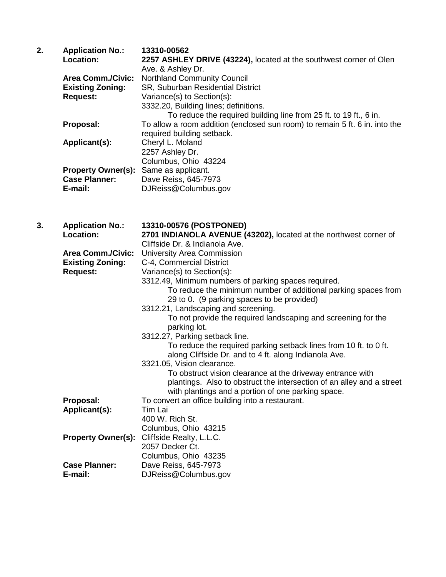| 2. | <b>Application No.:</b>   | 13310-00562                                                                 |
|----|---------------------------|-----------------------------------------------------------------------------|
|    | <b>Location:</b>          | 2257 ASHLEY DRIVE (43224), located at the southwest corner of Olen          |
|    |                           | Ave. & Ashley Dr.                                                           |
|    | <b>Area Comm./Civic:</b>  | <b>Northland Community Council</b>                                          |
|    | <b>Existing Zoning:</b>   | SR, Suburban Residential District                                           |
|    | <b>Request:</b>           | Variance(s) to Section(s):                                                  |
|    |                           | 3332.20, Building lines; definitions.                                       |
|    |                           | To reduce the required building line from 25 ft. to 19 ft., 6 in.           |
|    | Proposal:                 | To allow a room addition (enclosed sun room) to remain 5 ft. 6 in. into the |
|    |                           | required building setback.                                                  |
|    | Applicant(s):             | Cheryl L. Moland                                                            |
|    |                           | 2257 Ashley Dr.                                                             |
|    |                           | Columbus, Ohio 43224                                                        |
|    | <b>Property Owner(s):</b> | Same as applicant.                                                          |
|    | <b>Case Planner:</b>      | Dave Reiss, 645-7973                                                        |
|    | E-mail:                   | DJReiss@Columbus.gov                                                        |

| 3. | <b>Application No.:</b><br>Location:                                   | 13310-00576 (POSTPONED)<br>2701 INDIANOLA AVENUE (43202), located at the northwest corner of<br>Cliffside Dr. & Indianola Ave.                                                                              |
|----|------------------------------------------------------------------------|-------------------------------------------------------------------------------------------------------------------------------------------------------------------------------------------------------------|
|    | <b>Area Comm./Civic:</b><br><b>Existing Zoning:</b><br><b>Request:</b> | University Area Commission<br>C-4, Commercial District<br>Variance(s) to Section(s):                                                                                                                        |
|    |                                                                        | 3312.49, Minimum numbers of parking spaces required.<br>To reduce the minimum number of additional parking spaces from<br>29 to 0. (9 parking spaces to be provided)<br>3312.21, Landscaping and screening. |
|    |                                                                        | To not provide the required landscaping and screening for the<br>parking lot.                                                                                                                               |
|    |                                                                        | 3312.27, Parking setback line.<br>To reduce the required parking setback lines from 10 ft. to 0 ft.<br>along Cliffside Dr. and to 4 ft. along Indianola Ave.<br>3321.05, Vision clearance.                  |
|    |                                                                        | To obstruct vision clearance at the driveway entrance with<br>plantings. Also to obstruct the intersection of an alley and a street<br>with plantings and a portion of one parking space.                   |
|    | Proposal:                                                              | To convert an office building into a restaurant.                                                                                                                                                            |
|    | Applicant(s):                                                          | Tim Lai<br>400 W. Rich St.                                                                                                                                                                                  |
|    |                                                                        | Columbus, Ohio 43215                                                                                                                                                                                        |
|    | <b>Property Owner(s):</b>                                              | Cliffside Realty, L.L.C.<br>2057 Decker Ct.                                                                                                                                                                 |
|    | <b>Case Planner:</b><br>E-mail:                                        | Columbus, Ohio 43235<br>Dave Reiss, 645-7973<br>DJReiss@Columbus.gov                                                                                                                                        |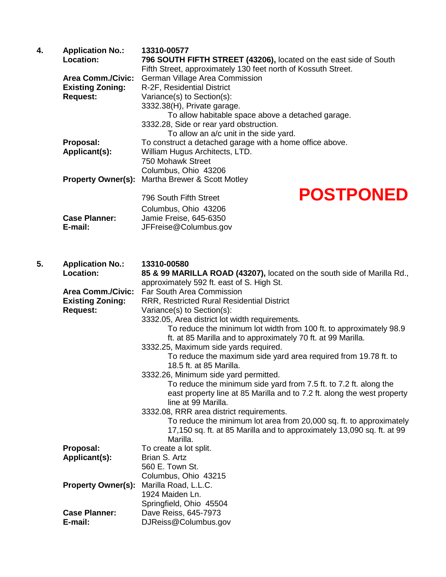| 4. | <b>Application No.:</b><br>Location: | 13310-00577<br>796 SOUTH FIFTH STREET (43206), located on the east side of South<br>Fifth Street, approximately 130 feet north of Kossuth Street. |                                                                         |
|----|--------------------------------------|---------------------------------------------------------------------------------------------------------------------------------------------------|-------------------------------------------------------------------------|
|    | <b>Area Comm./Civic:</b>             | German Village Area Commission                                                                                                                    |                                                                         |
|    | <b>Existing Zoning:</b>              | R-2F, Residential District                                                                                                                        |                                                                         |
|    | <b>Request:</b>                      | Variance(s) to Section(s):                                                                                                                        |                                                                         |
|    |                                      | 3332.38(H), Private garage.                                                                                                                       |                                                                         |
|    |                                      | To allow habitable space above a detached garage.                                                                                                 |                                                                         |
|    |                                      | 3332.28, Side or rear yard obstruction.                                                                                                           |                                                                         |
|    |                                      | To allow an a/c unit in the side yard.                                                                                                            |                                                                         |
|    | Proposal:                            | To construct a detached garage with a home office above.                                                                                          |                                                                         |
|    | Applicant(s):                        | William Hugus Architects, LTD.                                                                                                                    |                                                                         |
|    |                                      | 750 Mohawk Street                                                                                                                                 |                                                                         |
|    |                                      | Columbus, Ohio 43206                                                                                                                              |                                                                         |
|    | <b>Property Owner(s):</b>            | Martha Brewer & Scott Motley                                                                                                                      |                                                                         |
|    |                                      | 796 South Fifth Street                                                                                                                            | <b>POSTPONED</b>                                                        |
|    |                                      |                                                                                                                                                   |                                                                         |
|    | <b>Case Planner:</b>                 | Columbus, Ohio 43206                                                                                                                              |                                                                         |
|    | E-mail:                              | Jamie Freise, 645-6350<br>JFFreise@Columbus.gov                                                                                                   |                                                                         |
|    |                                      |                                                                                                                                                   |                                                                         |
| 5. |                                      | 13310-00580                                                                                                                                       |                                                                         |
|    | <b>Application No.:</b><br>Location: | approximately 592 ft. east of S. High St.                                                                                                         | 85 & 99 MARILLA ROAD (43207), located on the south side of Marilla Rd., |
|    | <b>Area Comm./Civic:</b>             | <b>Far South Area Commission</b>                                                                                                                  |                                                                         |
|    | <b>Existing Zoning:</b>              | RRR, Restricted Rural Residential District                                                                                                        |                                                                         |

**Request:** Variance(s) to Section(s):

3332.05, Area district lot width requirements.

To reduce the minimum lot width from 100 ft. to approximately 98.9 ft. at 85 Marilla and to approximately 70 ft. at 99 Marilla.

3332.25, Maximum side yards required.

To reduce the maximum side yard area required from 19.78 ft. to 18.5 ft. at 85 Marilla.

3332.26, Minimum side yard permitted.

To reduce the minimum side yard from 7.5 ft. to 7.2 ft. along the east property line at 85 Marilla and to 7.2 ft. along the west property line at 99 Marilla.

3332.08, RRR area district requirements.

To reduce the minimum lot area from 20,000 sq. ft. to approximately 17,150 sq. ft. at 85 Marilla and to approximately 13,090 sq. ft. at 99 Marilla.

| Proposal:                 | To create a lot split.  |
|---------------------------|-------------------------|
| Applicant(s):             | Brian S. Artz           |
|                           | 560 E. Town St.         |
|                           | Columbus, Ohio 43215    |
| <b>Property Owner(s):</b> | Marilla Road, L.L.C.    |
|                           | 1924 Maiden Ln.         |
|                           | Springfield, Ohio 45504 |
| <b>Case Planner:</b>      | Dave Reiss, 645-7973    |
| E-mail:                   | DJReiss@Columbus.gov    |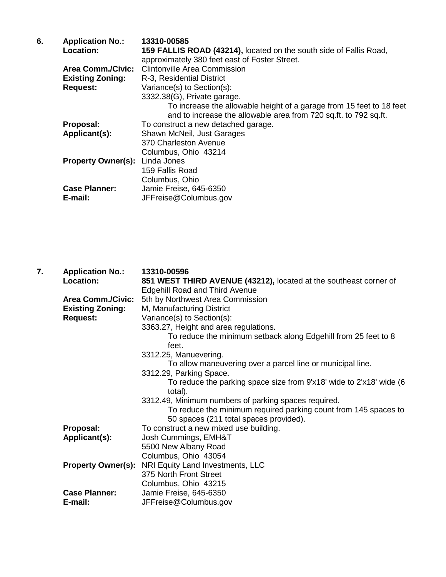| <b>Application No.:</b>   | 13310-00585                                                          |
|---------------------------|----------------------------------------------------------------------|
| Location:                 | 159 FALLIS ROAD (43214), located on the south side of Fallis Road,   |
|                           | approximately 380 feet east of Foster Street.                        |
| <b>Area Comm./Civic:</b>  | <b>Clintonville Area Commission</b>                                  |
| <b>Existing Zoning:</b>   | R-3, Residential District                                            |
| <b>Request:</b>           | Variance(s) to Section(s):                                           |
|                           | 3332.38(G), Private garage.                                          |
|                           | To increase the allowable height of a garage from 15 feet to 18 feet |
|                           | and to increase the allowable area from 720 sq.ft. to 792 sq.ft.     |
| Proposal:                 | To construct a new detached garage.                                  |
|                           | Shawn McNeil, Just Garages                                           |
|                           | 370 Charleston Avenue                                                |
|                           | Columbus, Ohio 43214                                                 |
| <b>Property Owner(s):</b> | Linda Jones                                                          |
|                           | 159 Fallis Road                                                      |
|                           | Columbus, Ohio                                                       |
| <b>Case Planner:</b>      | Jamie Freise, 645-6350                                               |
| E-mail:                   | JFFreise@Columbus.gov                                                |
|                           | Applicant(s):                                                        |

| 7. | <b>Application No.:</b><br>Location:                                   | 13310-00596<br>851 WEST THIRD AVENUE (43212), located at the southeast corner of<br><b>Edgehill Road and Third Avenue</b>                                                                                                                                |
|----|------------------------------------------------------------------------|----------------------------------------------------------------------------------------------------------------------------------------------------------------------------------------------------------------------------------------------------------|
|    | <b>Area Comm./Civic:</b><br><b>Existing Zoning:</b><br><b>Request:</b> | 5th by Northwest Area Commission<br>M, Manufacturing District<br>Variance(s) to Section(s):<br>3363.27, Height and area regulations.<br>To reduce the minimum setback along Edgehill from 25 feet to 8<br>feet.                                          |
|    |                                                                        | 3312.25, Manuevering.<br>To allow maneuvering over a parcel line or municipal line.<br>3312.29, Parking Space.<br>To reduce the parking space size from 9'x18' wide to 2'x18' wide (6<br>total).<br>3312.49, Minimum numbers of parking spaces required. |
|    |                                                                        | To reduce the minimum required parking count from 145 spaces to<br>50 spaces (211 total spaces provided).                                                                                                                                                |
|    | Proposal:<br>Applicant(s):                                             | To construct a new mixed use building.<br>Josh Cummings, EMH&T<br>5500 New Albany Road<br>Columbus, Ohio 43054                                                                                                                                           |
|    | <b>Property Owner(s):</b>                                              | NRI Equity Land Investments, LLC<br>375 North Front Street                                                                                                                                                                                               |
|    | <b>Case Planner:</b><br>E-mail:                                        | Columbus, Ohio 43215<br>Jamie Freise, 645-6350<br>JFFreise@Columbus.gov                                                                                                                                                                                  |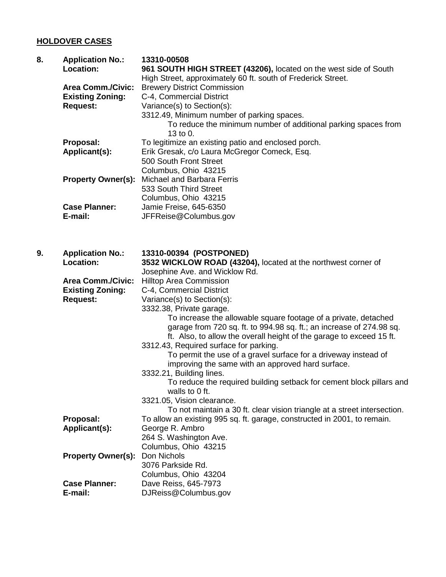## **HOLDOVER CASES**

| 8. | <b>Application No.:</b>   | 13310-00508                                                              |
|----|---------------------------|--------------------------------------------------------------------------|
|    | <b>Location:</b>          | 961 SOUTH HIGH STREET (43206), located on the west side of South         |
|    |                           | High Street, approximately 60 ft. south of Frederick Street.             |
|    | <b>Area Comm./Civic:</b>  | <b>Brewery District Commission</b>                                       |
|    | <b>Existing Zoning:</b>   | C-4, Commercial District                                                 |
|    | <b>Request:</b>           | Variance(s) to Section(s):                                               |
|    |                           | 3312.49, Minimum number of parking spaces.                               |
|    |                           | To reduce the minimum number of additional parking spaces from           |
|    |                           | 13 to 0.                                                                 |
|    | Proposal:                 | To legitimize an existing patio and enclosed porch.                      |
|    | Applicant(s):             | Erik Gresak, c/o Laura McGregor Comeck, Esq.                             |
|    |                           | 500 South Front Street                                                   |
|    |                           | Columbus, Ohio 43215                                                     |
|    | <b>Property Owner(s):</b> | Michael and Barbara Ferris                                               |
|    |                           | 533 South Third Street                                                   |
|    |                           | Columbus, Ohio 43215                                                     |
|    | <b>Case Planner:</b>      | Jamie Freise, 645-6350                                                   |
|    | E-mail:                   | JFFReise@Columbus.gov                                                    |
|    |                           |                                                                          |
|    |                           |                                                                          |
| 9. | <b>Application No.:</b>   | 13310-00394 (POSTPONED)                                                  |
|    | <b>Location:</b>          | 3532 WICKLOW ROAD (43204), located at the northwest corner of            |
|    |                           | Josephine Ave. and Wicklow Rd.                                           |
|    | <b>Area Comm./Civic:</b>  | <b>Hilltop Area Commission</b>                                           |
|    | <b>Existing Zoning:</b>   | C-4, Commercial District                                                 |
|    | <b>Request:</b>           | Variance(s) to Section(s):                                               |
|    |                           | 3332.38, Private garage.                                                 |
|    |                           | To increase the allowable square footage of a private, detached          |
|    |                           | garage from 720 sq. ft. to 994.98 sq. ft.; an increase of 274.98 sq.     |
|    |                           | ft. Also, to allow the overall height of the garage to exceed 15 ft.     |
|    |                           | 3312.43, Required surface for parking.                                   |
|    |                           | To permit the use of a gravel surface for a driveway instead of          |
|    |                           | improving the same with an approved hard surface.                        |
|    |                           | 3332.21, Building lines.                                                 |
|    |                           | To reduce the required building setback for cement block pillars and     |
|    |                           | walls to 0 ft.                                                           |
|    |                           | 3321.05, Vision clearance.                                               |
|    |                           | To not maintain a 30 ft. clear vision triangle at a street intersection. |
|    |                           |                                                                          |
|    | Proposal:                 | To allow an existing 995 sq. ft. garage, constructed in 2001, to remain. |
|    | Applicant(s):             | George R. Ambro                                                          |
|    |                           | 264 S. Washington Ave.                                                   |
|    |                           | Columbus, Ohio 43215                                                     |
|    | <b>Property Owner(s):</b> | Don Nichols                                                              |
|    |                           | 3076 Parkside Rd.                                                        |
|    |                           | Columbus, Ohio 43204                                                     |
|    | <b>Case Planner:</b>      | Dave Reiss, 645-7973                                                     |
|    | E-mail:                   | DJReiss@Columbus.gov                                                     |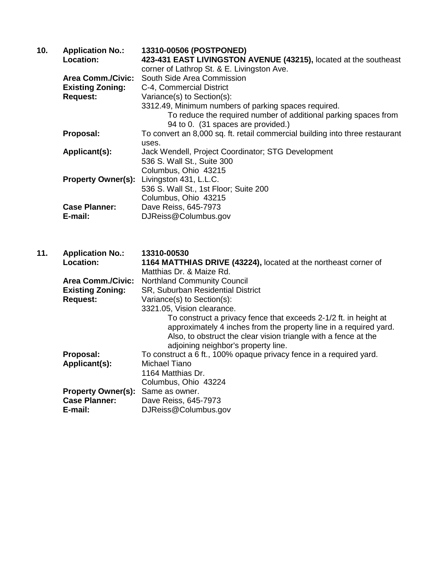| 10. | <b>Application No.:</b>  | 13310-00506 (POSTPONED)                                                                               |
|-----|--------------------------|-------------------------------------------------------------------------------------------------------|
|     | Location:                | 423-431 EAST LIVINGSTON AVENUE (43215), located at the southeast                                      |
|     | <b>Area Comm./Civic:</b> | corner of Lathrop St. & E. Livingston Ave.<br>South Side Area Commission                              |
|     | <b>Existing Zoning:</b>  | C-4, Commercial District                                                                              |
|     | <b>Request:</b>          | Variance(s) to Section(s):                                                                            |
|     |                          | 3312.49, Minimum numbers of parking spaces required.                                                  |
|     |                          | To reduce the required number of additional parking spaces from<br>94 to 0. (31 spaces are provided.) |
|     | Proposal:                | To convert an 8,000 sq. ft. retail commercial building into three restaurant                          |
|     |                          | uses.                                                                                                 |
|     | Applicant(s):            | Jack Wendell, Project Coordinator; STG Development                                                    |
|     |                          | 536 S. Wall St., Suite 300                                                                            |
|     |                          | Columbus, Ohio 43215                                                                                  |
|     |                          | <b>Property Owner(s):</b> Livingston 431, L.L.C.                                                      |
|     |                          | 536 S. Wall St., 1st Floor; Suite 200                                                                 |
|     |                          | Columbus, Ohio 43215                                                                                  |
|     | <b>Case Planner:</b>     | Dave Reiss, 645-7973                                                                                  |
|     | E-mail:                  | DJReiss@Columbus.gov                                                                                  |
|     |                          |                                                                                                       |
| 11. | <b>Application No.:</b>  | 13310-00530                                                                                           |
|     | Location:                | 1164 MATTHIAS DRIVE (43224), located at the northeast corner of                                       |

| Location:                 | 1164 MATTHIAS DRIVE (43224), located at the northeast corner of                                                                                                                                                                                 |
|---------------------------|-------------------------------------------------------------------------------------------------------------------------------------------------------------------------------------------------------------------------------------------------|
|                           | Matthias Dr. & Maize Rd.                                                                                                                                                                                                                        |
| <b>Area Comm./Civic:</b>  | <b>Northland Community Council</b>                                                                                                                                                                                                              |
| <b>Existing Zoning:</b>   | SR, Suburban Residential District                                                                                                                                                                                                               |
| <b>Request:</b>           | Variance(s) to Section(s):                                                                                                                                                                                                                      |
|                           | 3321.05, Vision clearance.                                                                                                                                                                                                                      |
|                           | To construct a privacy fence that exceeds 2-1/2 ft. in height at<br>approximately 4 inches from the property line in a required yard.<br>Also, to obstruct the clear vision triangle with a fence at the<br>adjoining neighbor's property line. |
| Proposal:                 | To construct a 6 ft., 100% opaque privacy fence in a required yard.                                                                                                                                                                             |
| Applicant(s):             | Michael Tiano                                                                                                                                                                                                                                   |
|                           | 1164 Matthias Dr.                                                                                                                                                                                                                               |
|                           | Columbus, Ohio 43224                                                                                                                                                                                                                            |
| <b>Property Owner(s):</b> | Same as owner.                                                                                                                                                                                                                                  |
| <b>Case Planner:</b>      | Dave Reiss, 645-7973                                                                                                                                                                                                                            |
| E-mail:                   | DJReiss@Columbus.gov                                                                                                                                                                                                                            |
|                           |                                                                                                                                                                                                                                                 |